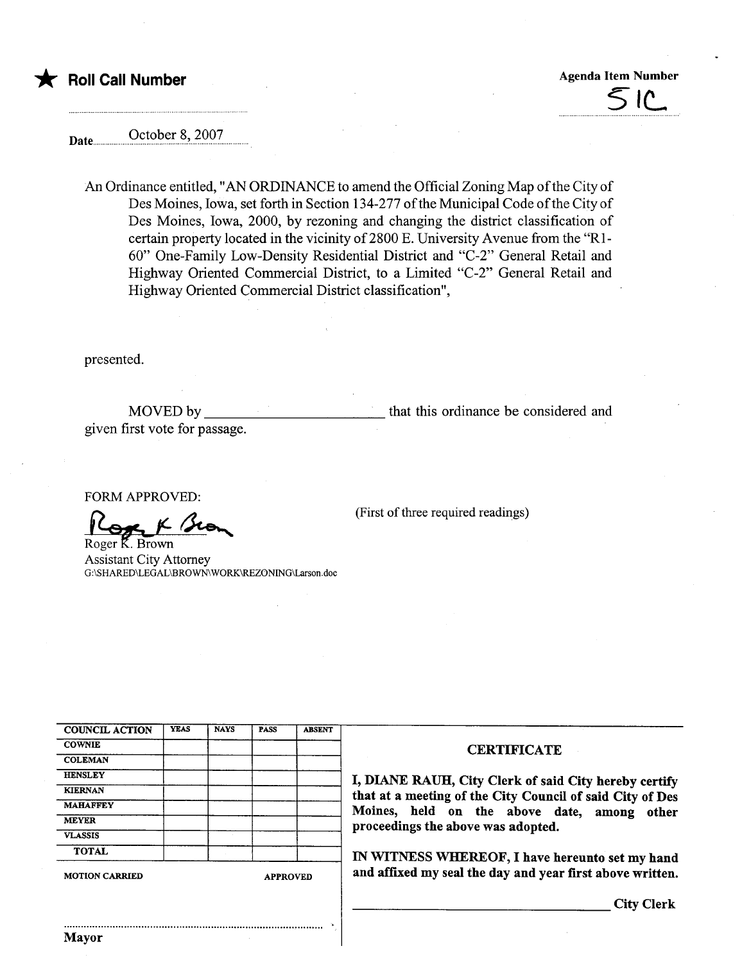## \* Roll Call Number Agenda Item Number Agenda Item Number

 $51c$ 

Date **October 8, 2007** 

An Ordinance entitled, "AN ORDINANCE to amend the Official Zoning Map of the City of Des Moines, Iowa, set forth in Section 134-277 of the Municipal Code of the City of Des Moines, Iowa, 2000, by rezoning and changing the district classification of certain property located in the vicinity of 2800 E. University Avenue from the "R1-60" One-Family Low-Density Residential District and "C-2" General Retail and Highway Oriented Commercial District, to a Limited "C-2" General Retail and Highway Oriented Commercial District classification",

presented.

MOVED by given first vote for passage. that this ordinance be considered and

.

(First of three required readings)

FORM APPROVED:

 $S_R K/s_0$ 

Roger K. Brown Assistant City Attorney G:\SHARED\LEGAL\BROWN WORK\REZONING\Larson.doc

| <b>MOTION CARRIED</b> |             | <b>APPROVED</b> |             |               |  |
|-----------------------|-------------|-----------------|-------------|---------------|--|
| <b>TOTAL</b>          |             |                 |             |               |  |
| <b>VLASSIS</b>        |             |                 |             |               |  |
| <b>MEYER</b>          |             |                 |             |               |  |
| <b>MAHAFFEY</b>       |             |                 |             |               |  |
| <b>KIERNAN</b>        |             |                 |             |               |  |
| <b>HENSLEY</b>        |             |                 |             |               |  |
| <b>COLEMAN</b>        |             |                 |             |               |  |
| <b>COWNIE</b>         |             |                 |             |               |  |
| <b>COUNCIL ACTION</b> | <b>YEAS</b> | <b>NAYS</b>     | <b>PASS</b> | <b>ABSENT</b> |  |

#### **CERTIFICATE**

I, DIANE RAUH, City Clerk of said City hereby certify that at a meeting of the City Council of said City of Des Moines, held on the above date, among other proceedings the above was adopted.

IN WITNESS WHEREOF, I have hereunto set my hand and affixed my seal the day and year first above written.

City Clerk

..........................................................................................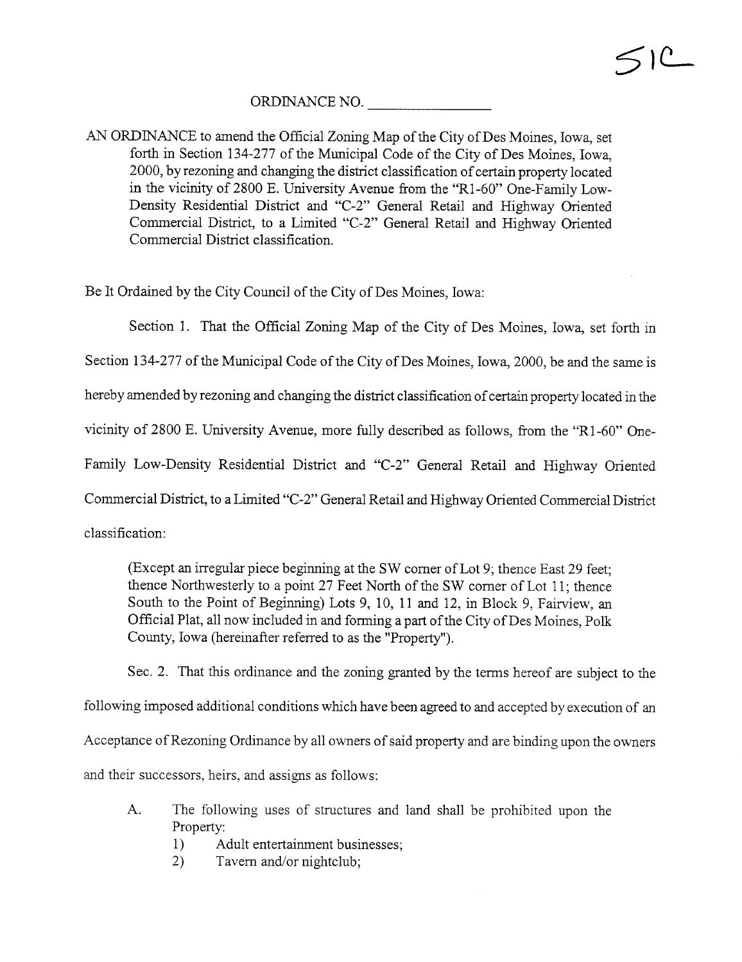### ORDINANCE NO.

AN ORDINANCE to amend the Official Zoning Map of the City of Des Moines, Iowa, set forth in Section 134-277 of the Municipal Code of the City of Des Moines, Iowa, 2000, by rezoning and changing the district classification of certain property located in the vicinty of 2800 E. University Avenue from the "Rl-60" One-Family Low-Density Residential District and "C-2" General Retail and Highway Oriented Commercial District, to a Limited "C-2" General Retail and Highway Oriented Commercial District classification.

Be It Ordained by the City Council of the City of Des Moines, Iowa:

Section 1. That the Official Zoning Map of the City of Des Moines, Iowa, set forth in

Section 134-277 of the Municipal Code of the City of Des Moines, Iowa, 2000, be and the same is

hereby amended by rezoning and changing the district classification of certain property located in the

vicinity of 2800 E. University Avenue, more fully described as follows, from the "Rl-60" One-

Family Low-Density Residential District and "C-2" General Retail and Highway Oriented

Commercial District, to a Limited "C-2" General Retail and Highway Oriented Commercial District

classification:

(Except an irregular piece beginning at the SW corner of Lot 9; thence East 29 feet; thence Northwesterly to a point 27 Feet North of the SW corner of Lot 11; thence South to the Point of Beginning) Lots 9, 10, 11 and 12, in Block 9, Fairview, an Official Plat, all now included in and forming a part of the City of Des Moines, Polk County, Iowa (hereinafter referred to as the "Property").

Sec. 2. That this ordinance and the zoning granted by the terms hereof are subject to the following imposed additional conditions which have been agreed to and accepted by execution of an Acceptance of Rezoning Ordinance by all owners of said property and are binding upon the owners and their successors, heirs, and assigns as follows:

- A. The following uses of structures and land shall be prohibited upon the Property:
	- 1) Adult entertainment businesses;
	- 2) Tavern and/or nightclub;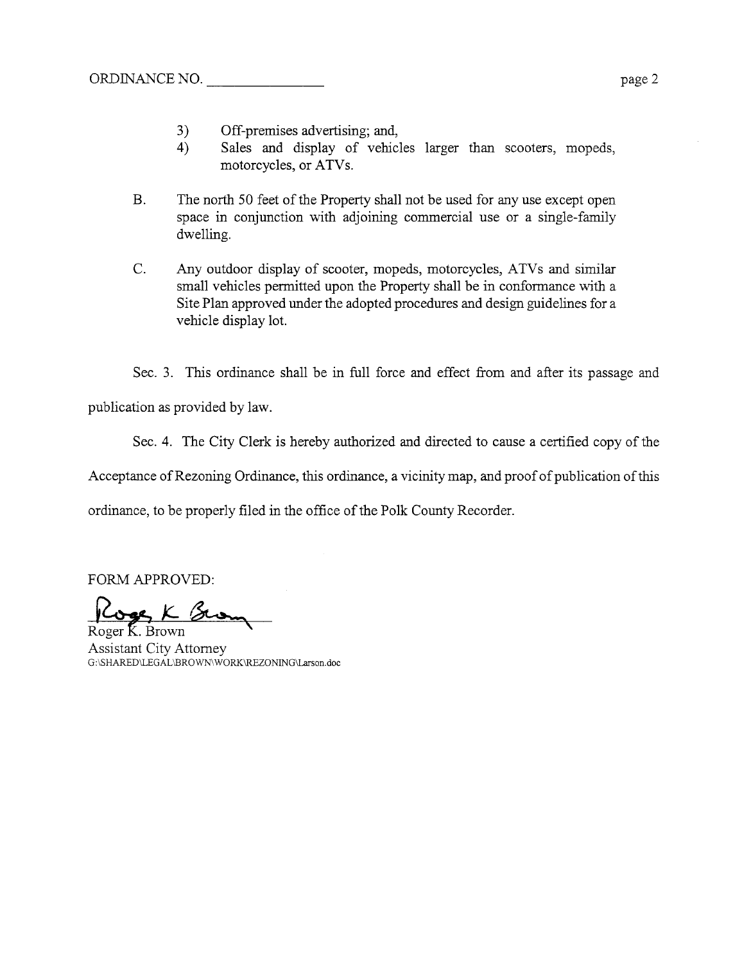- 3) Off-premises advertising; and,
- 4) Sales and display of vehicles larger than scooters, mopeds, motorcycles, or ATVs.
- B. The north 50 feet of the Property shall not be used for any use except open space in conjunction with adjoining commercial use or a single-famly dwelling.
- C. Any outdoor display of scooter, mopeds, motorcycles, ATVs and simlar small vehicles permitted upon the Property shall be in conformance with a Site Plan approved under the adopted procedures and design guidelines for a vehicle display lot.

Sec. 3. This ordinance shall be in full force and effect from and after its passage and

publication as provided by law.

Sec. 4. The City Clerk is hereby authorized and directed to cause a certified copy of the

Acceptance of Rezoning Ordinance, this ordinance, a vicinity map, and proof of publication of this

ordinance, to be properly filed in the office of the Polk County Recorder.

FORM APPROVED:<br>Roger K. Brown

Assistant City Attorney G:\SHARED\LEGAL\BROWN\WORK\REZONING\Larson.doc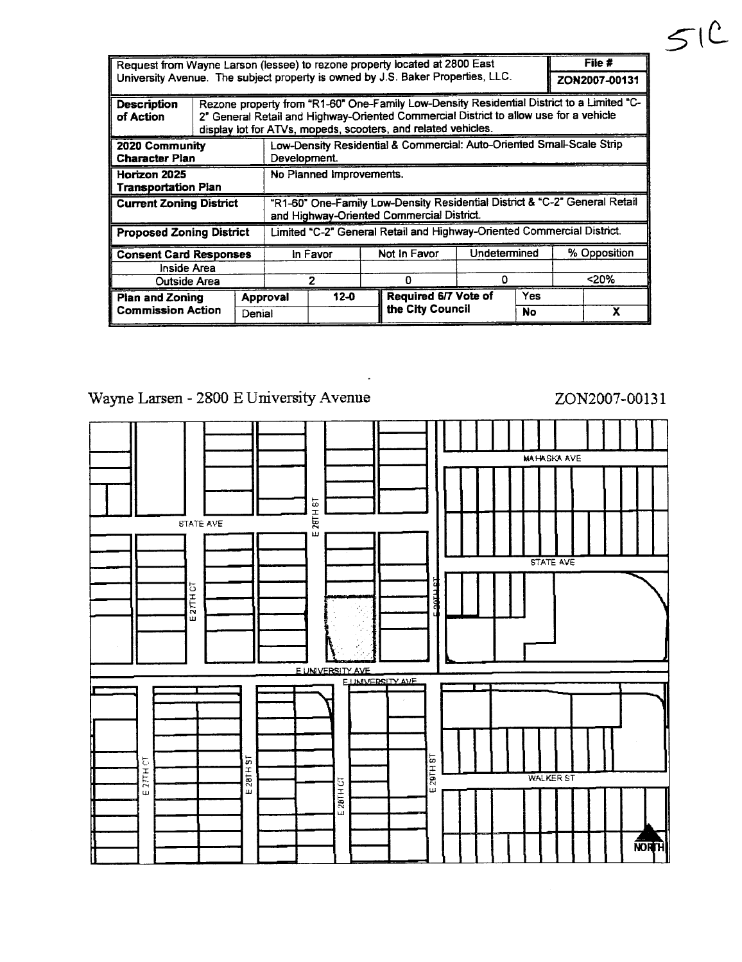| Request from Wayne Larson (lessee) to rezone property located at 2800 East |                                                                                 |                                                                                                                                                                                                                                                     |          |          |              |                      | File # |              |  |   |
|----------------------------------------------------------------------------|---------------------------------------------------------------------------------|-----------------------------------------------------------------------------------------------------------------------------------------------------------------------------------------------------------------------------------------------------|----------|----------|--------------|----------------------|--------|--------------|--|---|
|                                                                            | University Avenue. The subject property is owned by J.S. Baker Properties, LLC. |                                                                                                                                                                                                                                                     |          |          |              | ZON2007-00131        |        |              |  |   |
| Description<br>of Action                                                   |                                                                                 | Rezone property from "R1-60" One-Family Low-Density Residential District to a Limited "C-<br>2" General Retail and Highway-Oriented Commercial District to allow use for a vehicle<br>display lot for ATVs, mopeds, scooters, and related vehicles. |          |          |              |                      |        |              |  |   |
| 2020 Community<br><b>Character Plan</b>                                    |                                                                                 | Low-Density Residential & Commercial: Auto-Oriented Small-Scale Strip<br>Development.                                                                                                                                                               |          |          |              |                      |        |              |  |   |
| Horizon 2025<br><b>Transportation Plan</b>                                 |                                                                                 | No Planned Improvements.                                                                                                                                                                                                                            |          |          |              |                      |        |              |  |   |
| <b>Current Zoning District</b>                                             |                                                                                 | "R1-60" One-Family Low-Density Residential District & "C-2" General Retail<br>and Highway-Oriented Commercial District.                                                                                                                             |          |          |              |                      |        |              |  |   |
| <b>Proposed Zoning District</b>                                            |                                                                                 | Limited "C-2" General Retail and Highway-Oriented Commercial District.                                                                                                                                                                              |          |          |              |                      |        |              |  |   |
| <b>Consent Card Responses</b>                                              |                                                                                 | In Favor                                                                                                                                                                                                                                            |          |          | Not in Favor | Undetermined         |        | % Opposition |  |   |
| Inside Area                                                                |                                                                                 |                                                                                                                                                                                                                                                     |          |          |              |                      |        |              |  |   |
| Outside Area                                                               |                                                                                 | 2                                                                                                                                                                                                                                                   |          |          | Ω            | O                    |        | $<$ 20%      |  |   |
| <b>Plan and Zoning</b><br><b>Commission Action</b>                         |                                                                                 |                                                                                                                                                                                                                                                     | Approval | $12 - 0$ |              | Required 6/7 Vote of |        | <b>Yes</b>   |  |   |
|                                                                            |                                                                                 | Denial                                                                                                                                                                                                                                              |          |          |              | the City Council     |        | No           |  | x |

# Wayne Larsen - 2800 E University Avenue

## ZON2007-00131

 $51C$ 

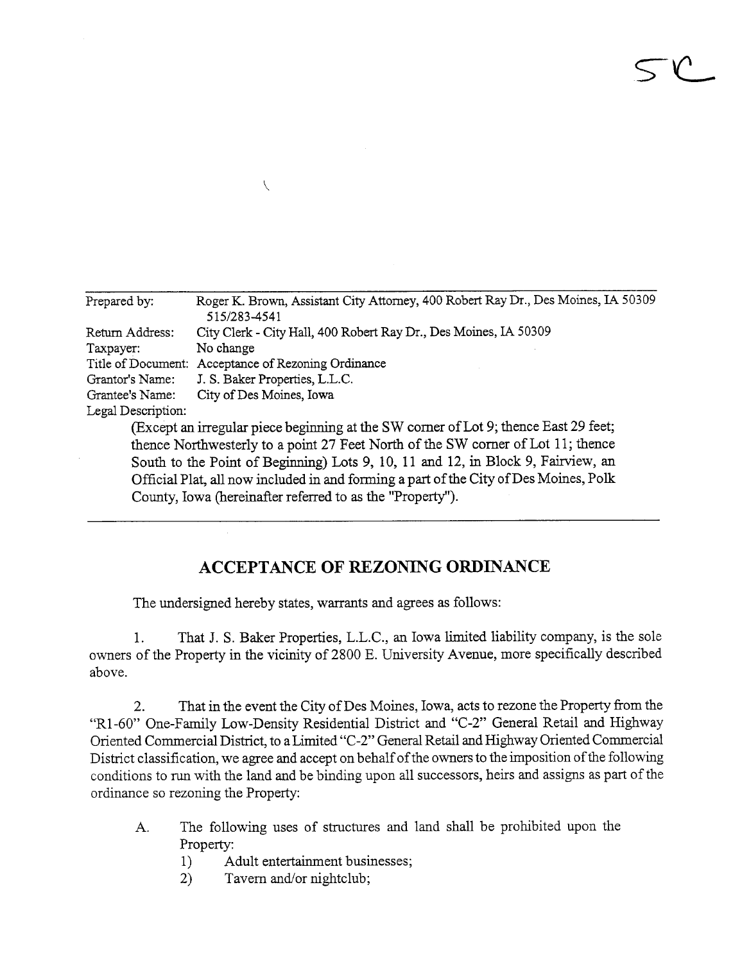| Prepared by:       | Roger K. Brown, Assistant City Attorney, 400 Robert Ray Dr., Des Moines, IA 50309<br>515/283-4541 |
|--------------------|---------------------------------------------------------------------------------------------------|
| Return Address:    | City Clerk - City Hall, 400 Robert Ray Dr., Des Moines, IA 50309                                  |
| Taxpayer:          | No change                                                                                         |
| Title of Document: | Acceptance of Rezoning Ordinance                                                                  |
| Grantor's Name:    | J. S. Baker Properties, L.L.C.                                                                    |
| Grantee's Name:    | City of Des Moines, Iowa                                                                          |
| Legal Description: |                                                                                                   |
|                    | (Except an irregular piece beginning at the SW corner of Lot 9; thence East 29 feet;              |
|                    | thence Northwesterly to a point 27 Feet North of the SW corner of Lot 11; thence                  |
|                    | South to the Point of Beginning) Lots 9, 10, 11 and 12, in Block 9, Fairview, an                  |
|                    |                                                                                                   |

 $SC$ 

Official Plat, all now included in and forming a part of the City of Des Moines, Polk County, Iowa (hereinafter referred to as the "Property").

## ACCEPTANCE OF REZONING ORDINANCE

The undersigned hereby states, warants and agrees as follows:

 $\sqrt{2}$ 

1. That J. S. Baker Properties, L.L.C., an Iowa limited liability company, is the sole owners of the Property in the vicinity of 2800 E. University Avenue, more specifically described above.

2. That in the event the City of Des Moines, Iowa, acts to rezone the Property from the "R1-60" One-Family Low-Density Residential District and "C-2" General Retail and Highway Oriented Commercial District, to a Limited "C-2" General Retail and Highway Oriented Commercial District classification, we agree and accept on behalf of the owners to the imposition of the following conditions to run with the land and be binding upon all successors, heirs and assigns as part of the ordinance so rezoning the Property:

- A. The following uses of structures and land shall be prohibited upon the Property:
	- 1) Adult entertainment businesses;
	- 2) Tavern and/or nightclub;